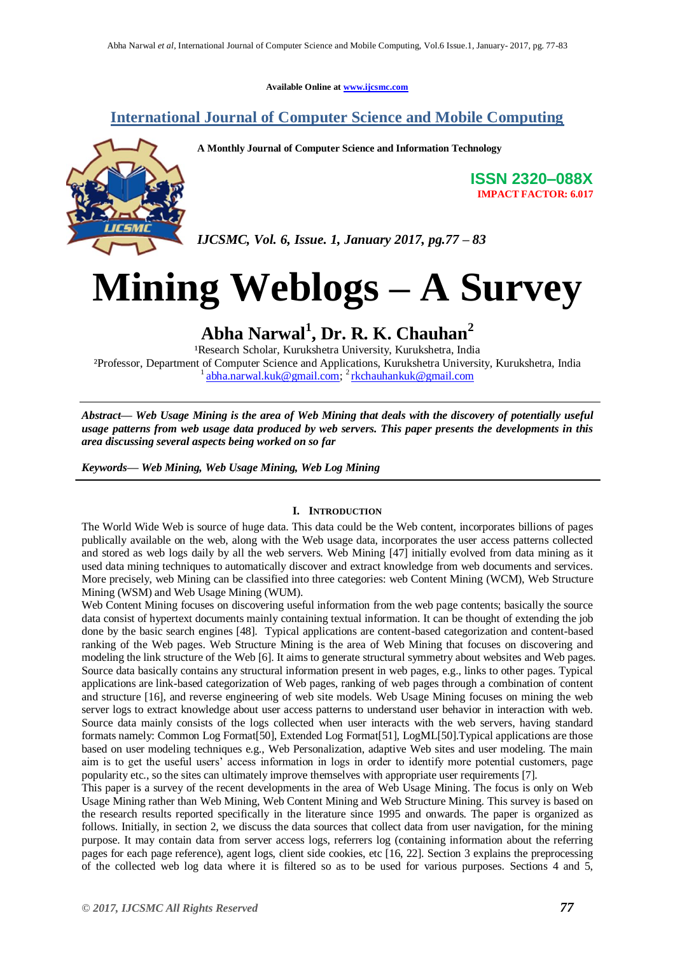**Available Online at [www.ijcsmc.com](http://www.ijcsmc.com/)**

## **International Journal of Computer Science and Mobile Computing**



**A Monthly Journal of Computer Science and Information Technology**

**ISSN 2320–088X IMPACT FACTOR: 6.017**

*IJCSMC, Vol. 6, Issue. 1, January 2017, pg.77 – 83*

# **Mining Weblogs – A Survey**

# **Abha Narwal<sup>1</sup> , Dr. R. K. Chauhan<sup>2</sup>**

<sup>1</sup>Research Scholar, Kurukshetra University, Kurukshetra, India ²Professor, Department of Computer Science and Applications, Kurukshetra University, Kurukshetra, India <sup>1</sup> [abha.narwal.kuk@gmail.com;](mailto:abha.narwal.kuk@gmail.com) <sup>2</sup> [rkchauhankuk@gmail.com](mailto:rkchauhankuk@gmail.com)

*Abstract— Web Usage Mining is the area of Web Mining that deals with the discovery of potentially useful usage patterns from web usage data produced by web servers. This paper presents the developments in this area discussing several aspects being worked on so far*

*Keywords— Web Mining, Web Usage Mining, Web Log Mining*

#### **I. INTRODUCTION**

The World Wide Web is source of huge data. This data could be the Web content, incorporates billions of pages publically available on the web, along with the Web usage data, incorporates the user access patterns collected and stored as web logs daily by all the web servers. Web Mining [47] initially evolved from data mining as it used data mining techniques to automatically discover and extract knowledge from web documents and services. More precisely, web Mining can be classified into three categories: web Content Mining (WCM), Web Structure Mining (WSM) and Web Usage Mining (WUM).

Web Content Mining focuses on discovering useful information from the web page contents; basically the source data consist of hypertext documents mainly containing textual information. It can be thought of extending the job done by the basic search engines [48]. Typical applications are content-based categorization and content-based ranking of the Web pages. Web Structure Mining is the area of Web Mining that focuses on discovering and modeling the link structure of the Web [6]. It aims to generate structural symmetry about websites and Web pages. Source data basically contains any structural information present in web pages, e.g., links to other pages. Typical applications are link-based categorization of Web pages, ranking of web pages through a combination of content and structure [16], and reverse engineering of web site models. Web Usage Mining focuses on mining the web server logs to extract knowledge about user access patterns to understand user behavior in interaction with web. Source data mainly consists of the logs collected when user interacts with the web servers, having standard formats namely: Common Log Format[50], Extended Log Format[51], LogML[50].Typical applications are those based on user modeling techniques e.g., Web Personalization, adaptive Web sites and user modeling. The main aim is to get the useful users' access information in logs in order to identify more potential customers, page popularity etc., so the sites can ultimately improve themselves with appropriate user requirements [7].

This paper is a survey of the recent developments in the area of Web Usage Mining. The focus is only on Web Usage Mining rather than Web Mining, Web Content Mining and Web Structure Mining. This survey is based on the research results reported specifically in the literature since 1995 and onwards. The paper is organized as follows. Initially, in section 2, we discuss the data sources that collect data from user navigation, for the mining purpose. It may contain data from server access logs, referrers log (containing information about the referring pages for each page reference), agent logs, client side cookies, etc [16, 22]. Section 3 explains the preprocessing of the collected web log data where it is filtered so as to be used for various purposes. Sections 4 and 5,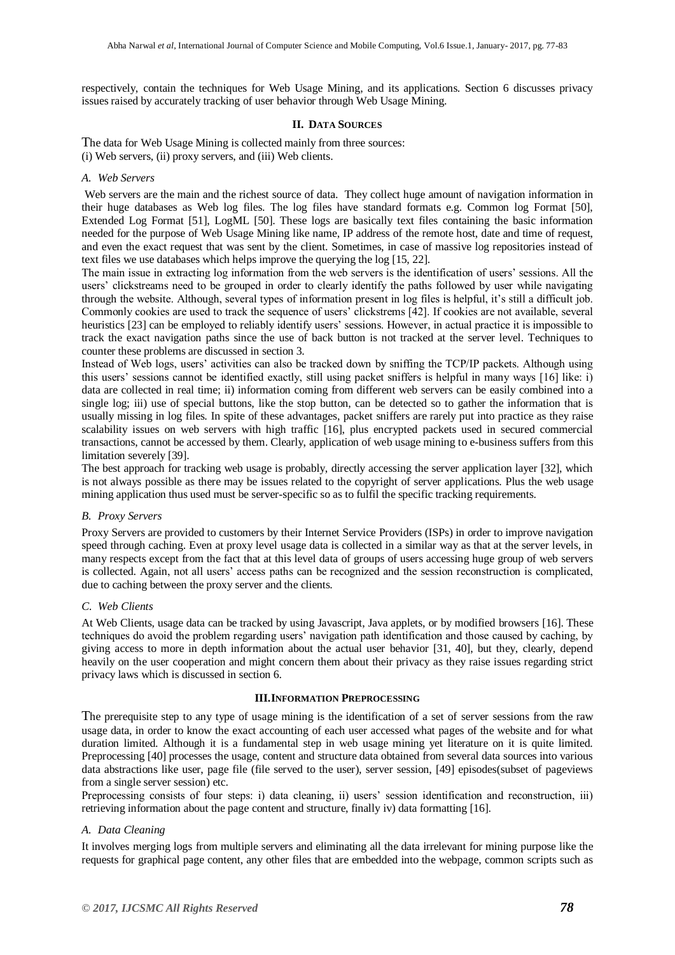respectively, contain the techniques for Web Usage Mining, and its applications. Section 6 discusses privacy issues raised by accurately tracking of user behavior through Web Usage Mining.

#### **II. DATA SOURCES**

The data for Web Usage Mining is collected mainly from three sources: (i) Web servers, (ii) proxy servers, and (iii) Web clients.

#### *A. Web Servers*

Web servers are the main and the richest source of data. They collect huge amount of navigation information in their huge databases as Web log files. The log files have standard formats e.g. Common log Format [50], Extended Log Format [51], LogML [50]. These logs are basically text files containing the basic information needed for the purpose of Web Usage Mining like name, IP address of the remote host, date and time of request, and even the exact request that was sent by the client. Sometimes, in case of massive log repositories instead of text files we use databases which helps improve the querying the log [15, 22].

The main issue in extracting log information from the web servers is the identification of users' sessions. All the users' clickstreams need to be grouped in order to clearly identify the paths followed by user while navigating through the website. Although, several types of information present in log files is helpful, it's still a difficult job. Commonly cookies are used to track the sequence of users' clickstrems [42]. If cookies are not available, several heuristics [23] can be employed to reliably identify users' sessions. However, in actual practice it is impossible to track the exact navigation paths since the use of back button is not tracked at the server level. Techniques to counter these problems are discussed in section 3.

Instead of Web logs, users' activities can also be tracked down by sniffing the TCP/IP packets. Although using this users' sessions cannot be identified exactly, still using packet sniffers is helpful in many ways [16] like: i) data are collected in real time; ii) information coming from different web servers can be easily combined into a single log; iii) use of special buttons, like the stop button, can be detected so to gather the information that is usually missing in log files. In spite of these advantages, packet sniffers are rarely put into practice as they raise scalability issues on web servers with high traffic [16], plus encrypted packets used in secured commercial transactions, cannot be accessed by them. Clearly, application of web usage mining to e-business suffers from this limitation severely [39].

The best approach for tracking web usage is probably, directly accessing the server application layer [32], which is not always possible as there may be issues related to the copyright of server applications. Plus the web usage mining application thus used must be server-specific so as to fulfil the specific tracking requirements.

#### *B. Proxy Servers*

Proxy Servers are provided to customers by their Internet Service Providers (ISPs) in order to improve navigation speed through caching. Even at proxy level usage data is collected in a similar way as that at the server levels, in many respects except from the fact that at this level data of groups of users accessing huge group of web servers is collected. Again, not all users' access paths can be recognized and the session reconstruction is complicated, due to caching between the proxy server and the clients.

#### *C. Web Clients*

At Web Clients, usage data can be tracked by using Javascript, Java applets, or by modified browsers [16]. These techniques do avoid the problem regarding users' navigation path identification and those caused by caching, by giving access to more in depth information about the actual user behavior [31, 40], but they, clearly, depend heavily on the user cooperation and might concern them about their privacy as they raise issues regarding strict privacy laws which is discussed in section 6.

#### **III.INFORMATION PREPROCESSING**

The prerequisite step to any type of usage mining is the identification of a set of server sessions from the raw usage data, in order to know the exact accounting of each user accessed what pages of the website and for what duration limited. Although it is a fundamental step in web usage mining yet literature on it is quite limited. Preprocessing [40] processes the usage, content and structure data obtained from several data sources into various data abstractions like user, page file (file served to the user), server session, [49] episodes(subset of pageviews from a single server session) etc.

Preprocessing consists of four steps: i) data cleaning, ii) users' session identification and reconstruction, iii) retrieving information about the page content and structure, finally iv) data formatting [16].

#### *A. Data Cleaning*

It involves merging logs from multiple servers and eliminating all the data irrelevant for mining purpose like the requests for graphical page content, any other files that are embedded into the webpage, common scripts such as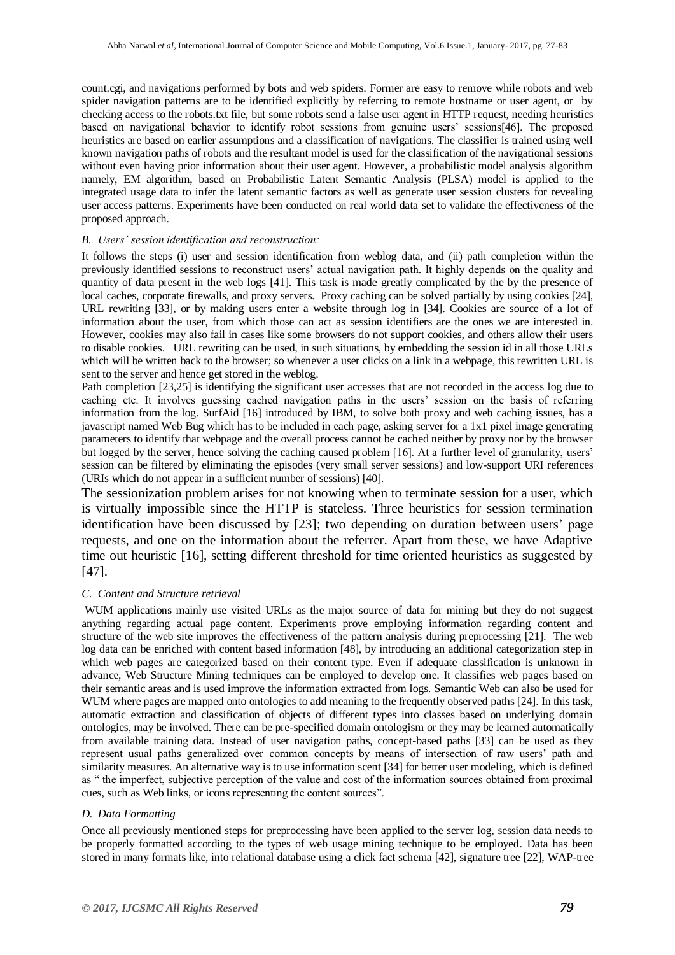count.cgi, and navigations performed by bots and web spiders. Former are easy to remove while robots and web spider navigation patterns are to be identified explicitly by referring to remote hostname or user agent, or by checking access to the robots.txt file, but some robots send a false user agent in HTTP request, needing heuristics based on navigational behavior to identify robot sessions from genuine users' sessions[46]. The proposed heuristics are based on earlier assumptions and a classification of navigations. The classifier is trained using well known navigation paths of robots and the resultant model is used for the classification of the navigational sessions without even having prior information about their user agent. However, a probabilistic model analysis algorithm namely, EM algorithm, based on Probabilistic Latent Semantic Analysis (PLSA) model is applied to the integrated usage data to infer the latent semantic factors as well as generate user session clusters for revealing user access patterns. Experiments have been conducted on real world data set to validate the effectiveness of the proposed approach.

#### *B. Users' session identification and reconstruction:*

It follows the steps (i) user and session identification from weblog data, and (ii) path completion within the previously identified sessions to reconstruct users' actual navigation path. It highly depends on the quality and quantity of data present in the web logs [41]. This task is made greatly complicated by the by the presence of local caches, corporate firewalls, and proxy servers. Proxy caching can be solved partially by using cookies [24], URL rewriting [33], or by making users enter a website through log in [34]. Cookies are source of a lot of information about the user, from which those can act as session identifiers are the ones we are interested in. However, cookies may also fail in cases like some browsers do not support cookies, and others allow their users to disable cookies. URL rewriting can be used, in such situations, by embedding the session id in all those URLs which will be written back to the browser; so whenever a user clicks on a link in a webpage, this rewritten URL is sent to the server and hence get stored in the weblog.

Path completion [23,25] is identifying the significant user accesses that are not recorded in the access log due to caching etc. It involves guessing cached navigation paths in the users' session on the basis of referring information from the log. SurfAid [16] introduced by IBM, to solve both proxy and web caching issues, has a javascript named Web Bug which has to be included in each page, asking server for a 1x1 pixel image generating parameters to identify that webpage and the overall process cannot be cached neither by proxy nor by the browser but logged by the server, hence solving the caching caused problem [16]. At a further level of granularity, users' session can be filtered by eliminating the episodes (very small server sessions) and low-support URI references (URIs which do not appear in a sufficient number of sessions) [40].

The sessionization problem arises for not knowing when to terminate session for a user, which is virtually impossible since the HTTP is stateless. Three heuristics for session termination identification have been discussed by [23]; two depending on duration between users' page requests, and one on the information about the referrer. Apart from these, we have Adaptive time out heuristic [16], setting different threshold for time oriented heuristics as suggested by [47].

#### *C. Content and Structure retrieval*

WUM applications mainly use visited URLs as the major source of data for mining but they do not suggest anything regarding actual page content. Experiments prove employing information regarding content and structure of the web site improves the effectiveness of the pattern analysis during preprocessing [21]. The web log data can be enriched with content based information [48], by introducing an additional categorization step in which web pages are categorized based on their content type. Even if adequate classification is unknown in advance, Web Structure Mining techniques can be employed to develop one. It classifies web pages based on their semantic areas and is used improve the information extracted from logs. Semantic Web can also be used for WUM where pages are mapped onto ontologies to add meaning to the frequently observed paths [24]. In this task, automatic extraction and classification of objects of different types into classes based on underlying domain ontologies, may be involved. There can be pre-specified domain ontologism or they may be learned automatically from available training data. Instead of user navigation paths, concept-based paths [33] can be used as they represent usual paths generalized over common concepts by means of intersection of raw users' path and similarity measures. An alternative way is to use information scent [34] for better user modeling, which is defined as " the imperfect, subjective perception of the value and cost of the information sources obtained from proximal cues, such as Web links, or icons representing the content sources".

#### *D. Data Formatting*

Once all previously mentioned steps for preprocessing have been applied to the server log, session data needs to be properly formatted according to the types of web usage mining technique to be employed. Data has been stored in many formats like, into relational database using a click fact schema [42], signature tree [22], WAP-tree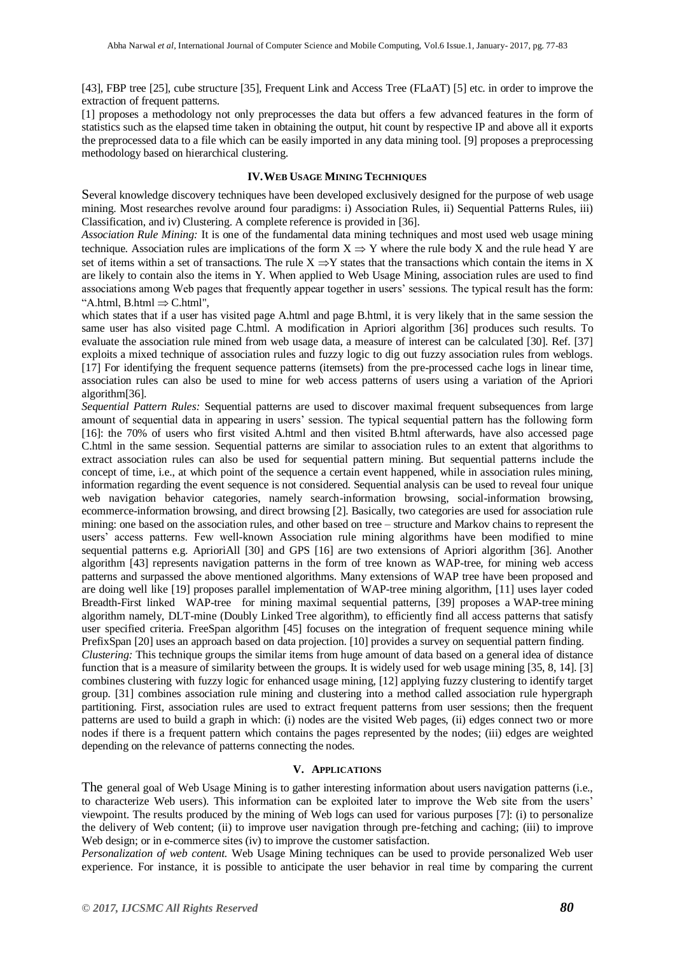[43], FBP tree [25], cube structure [35], Frequent Link and Access Tree (FLaAT) [5] etc. in order to improve the extraction of frequent patterns.

[1] proposes a methodology not only preprocesses the data but offers a few advanced features in the form of statistics such as the elapsed time taken in obtaining the output, hit count by respective IP and above all it exports the preprocessed data to a file which can be easily imported in any data mining tool. [9] proposes a preprocessing methodology based on hierarchical clustering.

#### **IV.WEB USAGE MINING TECHNIQUES**

Several knowledge discovery techniques have been developed exclusively designed for the purpose of web usage mining. Most researches revolve around four paradigms: i) Association Rules, ii) Sequential Patterns Rules, iii) Classification, and iv) Clustering. A complete reference is provided in [36].

*Association Rule Mining:* It is one of the fundamental data mining techniques and most used web usage mining technique. Association rules are implications of the form  $X \Rightarrow Y$  where the rule body X and the rule head Y are set of items within a set of transactions. The rule  $X \Rightarrow Y$  states that the transactions which contain the items in X are likely to contain also the items in Y. When applied to Web Usage Mining, association rules are used to find associations among Web pages that frequently appear together in users' sessions. The typical result has the form: "A.html, B.html  $\Rightarrow$  C.html",

which states that if a user has visited page A.html and page B.html, it is very likely that in the same session the same user has also visited page C.html. A modification in Apriori algorithm [36] produces such results. To evaluate the association rule mined from web usage data, a measure of interest can be calculated [30]. Ref. [37] exploits a mixed technique of association rules and fuzzy logic to dig out fuzzy association rules from weblogs. [17] For identifying the frequent sequence patterns (itemsets) from the pre-processed cache logs in linear time, association rules can also be used to mine for web access patterns of users using a variation of the Apriori algorithm[36].

*Sequential Pattern Rules:* Sequential patterns are used to discover maximal frequent subsequences from large amount of sequential data in appearing in users' session. The typical sequential pattern has the following form [16]: the 70% of users who first visited A.html and then visited B.html afterwards, have also accessed page C.html in the same session. Sequential patterns are similar to association rules to an extent that algorithms to extract association rules can also be used for sequential pattern mining. But sequential patterns include the concept of time, i.e., at which point of the sequence a certain event happened, while in association rules mining, information regarding the event sequence is not considered. Sequential analysis can be used to reveal four unique web navigation behavior categories, namely search-information browsing, social-information browsing, ecommerce-information browsing, and direct browsing [2]. Basically, two categories are used for association rule mining: one based on the association rules, and other based on tree – structure and Markov chains to represent the users' access patterns. Few well-known Association rule mining algorithms have been modified to mine sequential patterns e.g. AprioriAll [30] and GPS [16] are two extensions of Apriori algorithm [36]. Another algorithm [43] represents navigation patterns in the form of tree known as WAP-tree, for mining web access patterns and surpassed the above mentioned algorithms. Many extensions of WAP tree have been proposed and are doing well like [19] proposes parallel implementation of WAP-tree mining algorithm, [11] uses layer coded Breadth-First linked WAP-tree for mining maximal sequential patterns, [39] proposes a WAP-tree mining algorithm namely, DLT-mine (Doubly Linked Tree algorithm), to efficiently find all access patterns that satisfy user specified criteria. FreeSpan algorithm [45] focuses on the integration of frequent sequence mining while PrefixSpan [20] uses an approach based on data projection. [10] provides a survey on sequential pattern finding.

*Clustering:* This technique groups the similar items from huge amount of data based on a general idea of distance function that is a measure of similarity between the groups. It is widely used for web usage mining [35, 8, 14]. [3] combines clustering with fuzzy logic for enhanced usage mining, [12] applying fuzzy clustering to identify target group. [31] combines association rule mining and clustering into a method called association rule hypergraph partitioning. First, association rules are used to extract frequent patterns from user sessions; then the frequent patterns are used to build a graph in which: (i) nodes are the visited Web pages, (ii) edges connect two or more nodes if there is a frequent pattern which contains the pages represented by the nodes; (iii) edges are weighted depending on the relevance of patterns connecting the nodes.

#### **V. APPLICATIONS**

The general goal of Web Usage Mining is to gather interesting information about users navigation patterns (i.e., to characterize Web users). This information can be exploited later to improve the Web site from the users' viewpoint. The results produced by the mining of Web logs can used for various purposes [7]: (i) to personalize the delivery of Web content; (ii) to improve user navigation through pre-fetching and caching; (iii) to improve Web design; or in e-commerce sites (iv) to improve the customer satisfaction.

*Personalization of web content.* Web Usage Mining techniques can be used to provide personalized Web user experience. For instance, it is possible to anticipate the user behavior in real time by comparing the current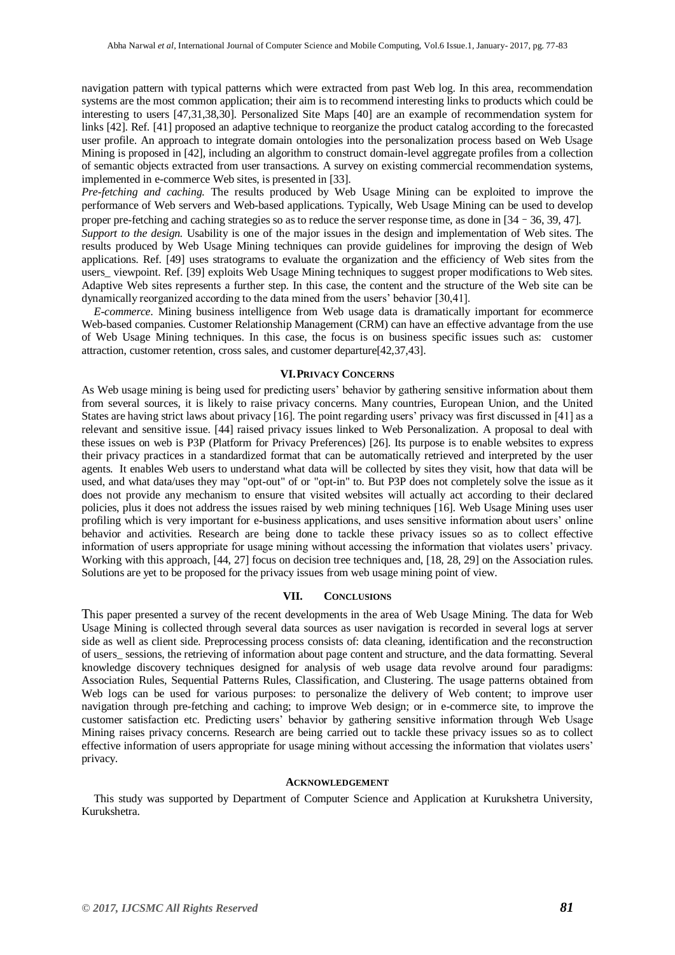navigation pattern with typical patterns which were extracted from past Web log. In this area, recommendation systems are the most common application; their aim is to recommend interesting links to products which could be interesting to users [47,31,38,30]. Personalized Site Maps [40] are an example of recommendation system for links [42]. Ref. [41] proposed an adaptive technique to reorganize the product catalog according to the forecasted user profile. An approach to integrate domain ontologies into the personalization process based on Web Usage Mining is proposed in [42], including an algorithm to construct domain-level aggregate profiles from a collection of semantic objects extracted from user transactions. A survey on existing commercial recommendation systems, implemented in e-commerce Web sites, is presented in [33].

*Pre-fetching and caching.* The results produced by Web Usage Mining can be exploited to improve the performance of Web servers and Web-based applications. Typically, Web Usage Mining can be used to develop proper pre-fetching and caching strategies so as to reduce the server response time, as done in [34–36, 39, 47]. *Support to the design.* Usability is one of the major issues in the design and implementation of Web sites. The

results produced by Web Usage Mining techniques can provide guidelines for improving the design of Web applications. Ref. [49] uses stratograms to evaluate the organization and the efficiency of Web sites from the users\_ viewpoint. Ref. [39] exploits Web Usage Mining techniques to suggest proper modifications to Web sites. Adaptive Web sites represents a further step. In this case, the content and the structure of the Web site can be dynamically reorganized according to the data mined from the users' behavior [30,41].

*E-commerce.* Mining business intelligence from Web usage data is dramatically important for ecommerce Web-based companies. Customer Relationship Management (CRM) can have an effective advantage from the use of Web Usage Mining techniques. In this case, the focus is on business specific issues such as: customer attraction, customer retention, cross sales, and customer departure[42,37,43].

#### **VI.PRIVACY CONCERNS**

As Web usage mining is being used for predicting users' behavior by gathering sensitive information about them from several sources, it is likely to raise privacy concerns. Many countries, European Union, and the United States are having strict laws about privacy [16]. The point regarding users' privacy was first discussed in [41] as a relevant and sensitive issue. [44] raised privacy issues linked to Web Personalization. A proposal to deal with these issues on web is P3P (Platform for Privacy Preferences) [26]. Its purpose is to enable websites to express their privacy practices in a standardized format that can be automatically retrieved and interpreted by the user agents. It enables Web users to understand what data will be collected by sites they visit, how that data will be used, and what data/uses they may "opt-out" of or "opt-in" to. But P3P does not completely solve the issue as it does not provide any mechanism to ensure that visited websites will actually act according to their declared policies, plus it does not address the issues raised by web mining techniques [16]. Web Usage Mining uses user profiling which is very important for e-business applications, and uses sensitive information about users' online behavior and activities. Research are being done to tackle these privacy issues so as to collect effective information of users appropriate for usage mining without accessing the information that violates users' privacy. Working with this approach, [44, 27] focus on decision tree techniques and, [18, 28, 29] on the Association rules. Solutions are yet to be proposed for the privacy issues from web usage mining point of view.

#### **VII. CONCLUSIONS**

This paper presented a survey of the recent developments in the area of Web Usage Mining. The data for Web Usage Mining is collected through several data sources as user navigation is recorded in several logs at server side as well as client side. Preprocessing process consists of: data cleaning, identification and the reconstruction of users\_ sessions, the retrieving of information about page content and structure, and the data formatting. Several knowledge discovery techniques designed for analysis of web usage data revolve around four paradigms: Association Rules, Sequential Patterns Rules, Classification, and Clustering. The usage patterns obtained from Web logs can be used for various purposes: to personalize the delivery of Web content; to improve user navigation through pre-fetching and caching; to improve Web design; or in e-commerce site, to improve the customer satisfaction etc. Predicting users' behavior by gathering sensitive information through Web Usage Mining raises privacy concerns. Research are being carried out to tackle these privacy issues so as to collect effective information of users appropriate for usage mining without accessing the information that violates users' privacy.

#### **ACKNOWLEDGEMENT**

This study was supported by Department of Computer Science and Application at Kurukshetra University, Kurukshetra.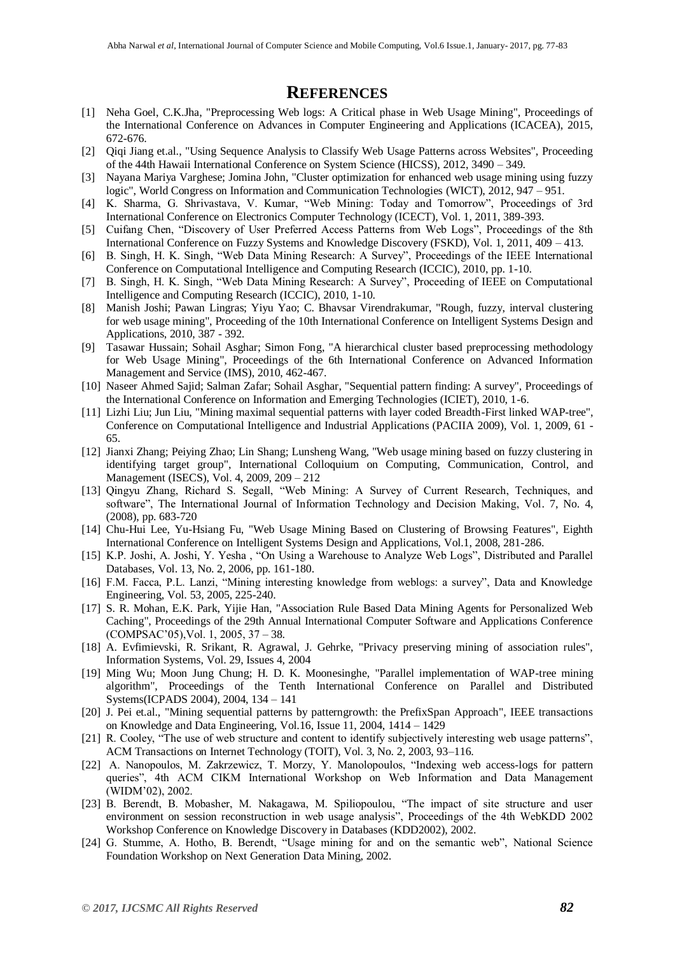### **REFERENCES**

- [1] Neha Goel, C.K.Jha, "Preprocessing Web logs: A Critical phase in Web Usage Mining", Proceedings of the International Conference on Advances in Computer Engineering and Applications (ICACEA), 2015, 672-676.
- [2] Qiqi Jiang et.al., "Using Sequence Analysis to Classify Web Usage Patterns across Websites", Proceeding of the 44th Hawaii International Conference on System Science (HICSS), 2012, 3490 – 349.
- [3] Nayana Mariya Varghese; Jomina John, "Cluster optimization for enhanced web usage mining using fuzzy logic", World Congress on Information and Communication Technologies (WICT), 2012, 947 – 951.
- [4] K. Sharma, G. Shrivastava, V. Kumar, "Web Mining: Today and Tomorrow", Proceedings of 3rd International Conference on Electronics Computer Technology (ICECT), Vol. 1, 2011, 389-393.
- [5] Cuifang Chen, "Discovery of User Preferred Access Patterns from Web Logs", Proceedings of the 8th International Conference on Fuzzy Systems and Knowledge Discovery (FSKD), Vol. 1, 2011, 409 – 413.
- [6] B. Singh, H. K. Singh, "Web Data Mining Research: A Survey", Proceedings of the IEEE International Conference on Computational Intelligence and Computing Research (ICCIC), 2010, pp. 1-10.
- [7] B. Singh, H. K. Singh, "Web Data Mining Research: A Survey", Proceeding of IEEE on Computational Intelligence and Computing Research (ICCIC), 2010, 1-10.
- [8] Manish Joshi; Pawan Lingras; Yiyu Yao; C. Bhavsar Virendrakumar, "Rough, fuzzy, interval clustering for web usage mining", Proceeding of the 10th International Conference on Intelligent Systems Design and Applications, 2010, 387 - 392.
- [9] Tasawar Hussain; Sohail Asghar; Simon Fong, "A hierarchical cluster based preprocessing methodology for Web Usage Mining", Proceedings of the 6th International Conference on Advanced Information Management and Service (IMS), 2010, 462-467.
- [10] Naseer Ahmed Sajid; Salman Zafar; Sohail Asghar, "Sequential pattern finding: A survey", Proceedings of the International Conference on Information and Emerging Technologies (ICIET), 2010, 1-6.
- [11] Lizhi Liu; Jun Liu, "Mining maximal sequential patterns with layer coded Breadth-First linked WAP-tree", Conference on Computational Intelligence and Industrial Applications (PACIIA 2009), Vol. 1, 2009, 61 - 65.
- [12] Jianxi Zhang; Peiying Zhao; Lin Shang; Lunsheng Wang, "Web usage mining based on fuzzy clustering in identifying target group", International Colloquium on Computing, Communication, Control, and Management (ISECS), Vol. 4, 2009, 209 – 212
- [13] Qingyu Zhang, Richard S. Segall, "Web Mining: A Survey of Current Research, Techniques, and software", The International Journal of Information Technology and Decision Making, Vol. 7, No. 4, (2008), pp. 683-720
- [14] Chu-Hui Lee, Yu-Hsiang Fu, "Web Usage Mining Based on Clustering of Browsing Features", Eighth International Conference on Intelligent Systems Design and Applications, Vol.1, 2008, 281-286.
- [15] K.P. Joshi, A. Joshi, Y. Yesha, "On Using a Warehouse to Analyze Web Logs", Distributed and Parallel Databases, Vol. 13, No. 2, 2006, pp. 161-180.
- [16] F.M. Facca, P.L. Lanzi, "Mining interesting knowledge from weblogs: a survey", Data and Knowledge Engineering, Vol. 53, 2005, 225-240.
- [17] S. R. Mohan, E.K. Park, Yijie Han, "Association Rule Based Data Mining Agents for Personalized Web Caching", Proceedings of the 29th Annual International Computer Software and Applications Conference (COMPSAC'05),Vol. 1, 2005, 37 – 38.
- [18] A. Evfimievski, R. Srikant, R. Agrawal, J. Gehrke, "Privacy preserving mining of association rules", Information Systems, Vol. 29, Issues 4, 2004
- [19] Ming Wu; Moon Jung Chung; H. D. K. Moonesinghe, "Parallel implementation of WAP-tree mining algorithm", Proceedings of the Tenth International Conference on Parallel and Distributed Systems(ICPADS 2004), 2004, 134 – 141
- [20] J. Pei et.al., "Mining sequential patterns by patterngrowth: the PrefixSpan Approach", IEEE transactions on Knowledge and Data Engineering, Vol.16, Issue 11, 2004, 1414 – 1429
- R. Cooley, "The use of web structure and content to identify subjectively interesting web usage patterns", ACM Transactions on Internet Technology (TOIT), Vol. 3, No. 2, 2003, 93–116.
- [22] A. Nanopoulos, M. Zakrzewicz, T. Morzy, Y. Manolopoulos, "Indexing web access-logs for pattern queries", 4th ACM CIKM International Workshop on Web Information and Data Management (WIDM'02), 2002.
- [23] B. Berendt, B. Mobasher, M. Nakagawa, M. Spiliopoulou, "The impact of site structure and user environment on session reconstruction in web usage analysis", Proceedings of the 4th WebKDD 2002 Workshop Conference on Knowledge Discovery in Databases (KDD2002), 2002.
- [24] G. Stumme, A. Hotho, B. Berendt, "Usage mining for and on the semantic web", National Science Foundation Workshop on Next Generation Data Mining, 2002.